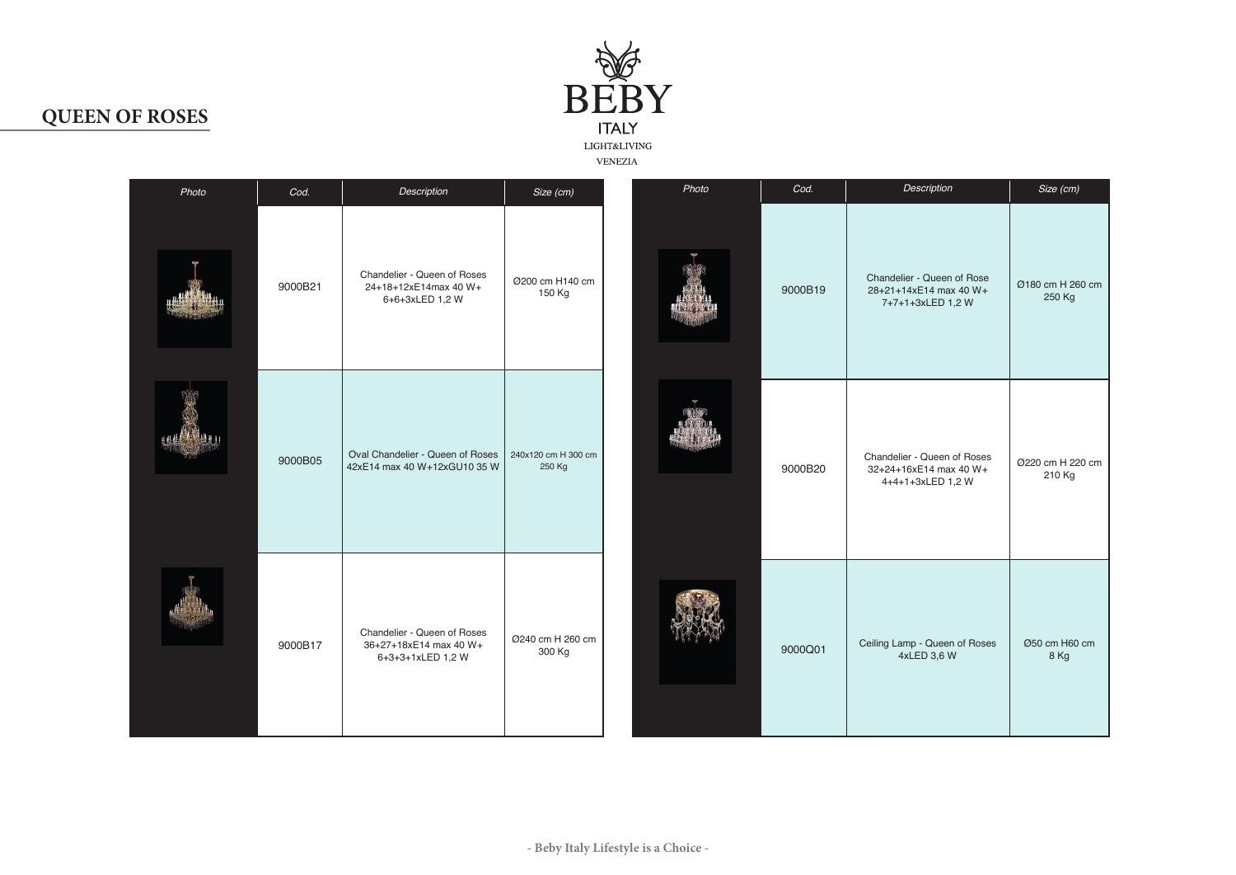

## **QUEEN OF ROSES**

| Photo           | Cod.    | Description                                                                            | Size (cm)                  | Photo | Cod.    | Description                                                                | Size (cm)                  |
|-----------------|---------|----------------------------------------------------------------------------------------|----------------------------|-------|---------|----------------------------------------------------------------------------|----------------------------|
|                 | 9000B21 | Chandelier - Queen of Roses<br>24+18+12xE14max 40 W+<br>6+6+3xLED 1,2 W                | Ø200 cm H140 cm<br>150 Kg  |       | 9000B19 | Chandelier - Queen of Rose<br>28+21+14xE14 max 40 W+<br>7+7+1+3xLED 1,2 W  | Ø180 cm H 260 cm<br>250 Kg |
| 2. 2. 2. 2. 4 1 | 9000B05 | Oval Chandelier - Queen of Roses   240x120 cm H 300 cm<br>42xE14 max 40 W+12xGU10 35 W | 250 Kg                     |       | 9000B20 | Chandelier - Queen of Roses<br>32+24+16xE14 max 40 W+<br>4+4+1+3xLED 1,2 W | Ø220 cm H 220 cm<br>210 Kg |
|                 | 9000B17 | Chandelier - Queen of Roses<br>36+27+18xE14 max 40 W+<br>6+3+3+1xLED 1,2 W             | Ø240 cm H 260 cm<br>300 Kg |       | 9000Q01 | Ceiling Lamp - Queen of Roses<br>4xLED 3,6 W                               | Ø50 cm H60 cm<br>8 Kg      |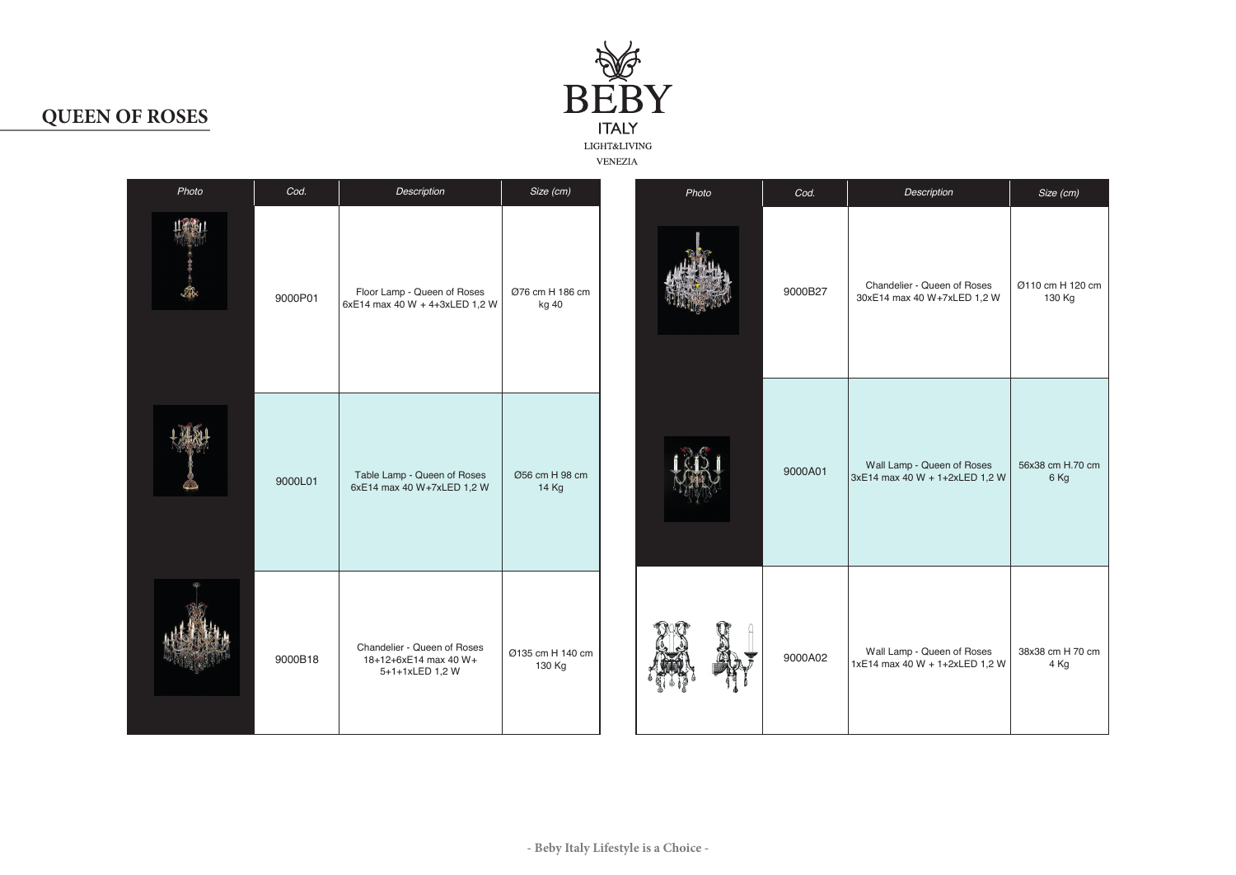

## **QUEEN OF ROSES**

|          |         |                                                                         |                            | VENEZIA |         |                                                              |                            |
|----------|---------|-------------------------------------------------------------------------|----------------------------|---------|---------|--------------------------------------------------------------|----------------------------|
| Photo    | Cod.    | Description                                                             | Size (cm)                  | Photo   | Cod.    | Description                                                  | Size (cm)                  |
| 山寨山<br>麻 | 9000P01 | Floor Lamp - Queen of Roses<br>6xE14 max 40 W + 4+3xLED 1,2 W           | Ø76 cm H 186 cm<br>kg 40   |         | 9000B27 | Chandelier - Queen of Roses<br>30xE14 max 40 W+7xLED 1,2 W   | Ø110 cm H 120 cm<br>130 Kg |
|          | 9000L01 | Table Lamp - Queen of Roses<br>6xE14 max 40 W+7xLED 1,2 W               | Ø56 cm H 98 cm<br>14 Kg    |         | 9000A01 | Wall Lamp - Queen of Roses<br>3xE14 max 40 W + 1+2xLED 1,2 W | 56x38 cm H.70 cm<br>6 Kg   |
|          | 9000B18 | Chandelier - Queen of Roses<br>18+12+6xE14 max 40 W+<br>5+1+1xLED 1,2 W | Ø135 cm H 140 cm<br>130 Kg |         | 9000A02 | Wall Lamp - Queen of Roses<br>1xE14 max 40 W + 1+2xLED 1,2 W | 38x38 cm H 70 cm<br>4 Kg   |